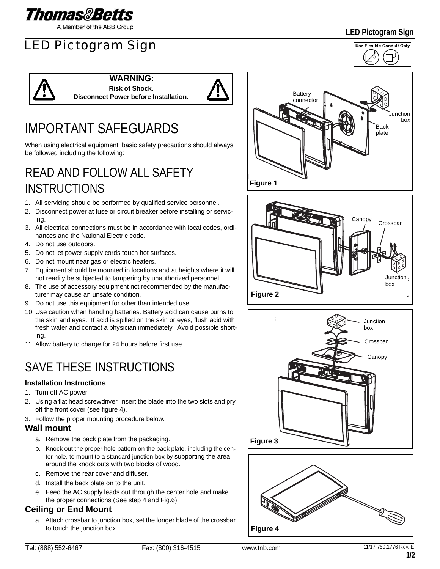

A Member of the ABB Group

# LED Pictogram Sign

**LED Pictogram Sign**



#### **WARNING: Risk of Shock.**

**Disconnect Power before Installation.**



# IMPORTANT SAFEGUARDS

When using electrical equipment, basic safety precautions should always be followed including the following:

# READ AND FOLLOW ALL SAFETY INSTRUCTIONS

- 1. All servicing should be performed by qualified service personnel.
- 2. Disconnect power at fuse or circuit breaker before installing or servicing.
- 3. All electrical connections must be in accordance with local codes, ordinances and the National Electric code.
- 4. Do not use outdoors.
- 5. Do not let power supply cords touch hot surfaces.
- 6. Do not mount near gas or electric heaters.
- 7. Equipment should be mounted in locations and at heights where it will not readily be subjected to tampering by unauthorized personnel.
- 8. The use of accessory equipment not recommended by the manufacturer may cause an unsafe condition.
- 9. Do not use this equipment for other than intended use.
- 10. Use caution when handling batteries. Battery acid can cause burns to the skin and eyes. If acid is spilled on the skin or eyes, flush acid with fresh water and contact a physician immediately. Avoid possible shorting.
- 11. Allow battery to charge for 24 hours before first use.

## SAVE THESE INSTRUCTIONS

### **Installation Instructions**

- 1. Turn off AC power.
- 2. Using a flat head screwdriver, insert the blade into the two slots and pry off the front cover (see figure 4).
- 3. Follow the proper mounting procedure below.

#### **Wall mount**

- a. Remove the back plate from the packaging.
- b. Knock out the proper hole pattern on the back plate, including the center hole, to mount to a standard junction box by supporting the area around the knock outs with two blocks of wood.
- c. Remove the rear cover and diffuser.
- d. Install the back plate on to the unit.
- e. Feed the AC supply leads out through the center hole and make the proper connections (See step 4 and Fig.6).

### **Ceiling or End Mount**

a. Attach crossbar to junction box, set the longer blade of the crossbar to touch the junction box.